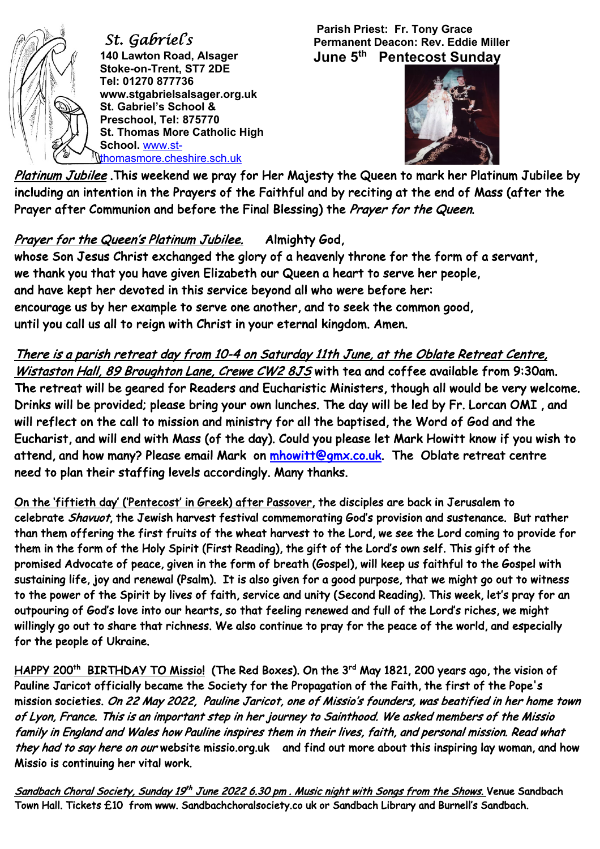

 *St. Gabriel's*  **140 Lawton Road, Alsager Stoke-on-Trent, ST7 2DE Tel: 01270 877736 www.stgabrielsalsager.org.uk St. Gabriel's School & Preschool, Tel: 875770 St. Thomas More Catholic High School.** www.stthomasmore.cheshire.sch.uk

**Parish Priest: Fr. Tony Grace Permanent Deacon: Rev. Eddie Miller June 5th Pentecost Sunday** 



Platinum Jubilee. This weekend we pray for Her Majesty the Queen to mark her Platinum Jubilee by including an intention in the Prayers of the Faithful and by reciting at the end of Mass (after the Prayer after Communion and before the Final Blessing) the Prayer for the Queen.

## Prayer for the Queen's Platinum Jubilee. Almighty God,

whose Son Jesus Christ exchanged the glory of a heavenly throne for the form of a servant, we thank you that you have given Elizabeth our Queen a heart to serve her people, and have kept her devoted in this service beyond all who were before her: encourage us by her example to serve one another, and to seek the common good, until you call us all to reign with Christ in your eternal kingdom. Amen.

There is a parish retreat day from 10-4 on Saturday 11th June, at the Oblate Retreat Centre, Wistaston Hall, 89 Broughton Lane, Crewe CW2 8JS with tea and coffee available from 9:30am. The retreat will be geared for Readers and Eucharistic Ministers, though all would be very welcome. Drinks will be provided; please bring your own lunches. The day will be led by Fr. Lorcan OMI , and will reflect on the call to mission and ministry for all the baptised, the Word of God and the Eucharist, and will end with Mass (of the day). Could you please let Mark Howitt know if you wish to attend, and how many? Please email Mark on mhowitt@gmx.co.uk. The Oblate retreat centre need to plan their staffing levels accordingly. Many thanks.

On the 'fiftieth day' ('Pentecost' in Greek) after Passover, the disciples are back in Jerusalem to celebrate Shavuot, the Jewish harvest festival commemorating God's provision and sustenance. But rather than them offering the first fruits of the wheat harvest to the Lord, we see the Lord coming to provide for them in the form of the Holy Spirit (First Reading), the gift of the Lord's own self. This gift of the promised Advocate of peace, given in the form of breath (Gospel), will keep us faithful to the Gospel with sustaining life, joy and renewal (Psalm). It is also given for a good purpose, that we might go out to witness to the power of the Spirit by lives of faith, service and unity (Second Reading). This week, let's pray for an outpouring of God's love into our hearts, so that feeling renewed and full of the Lord's riches, we might willingly go out to share that richness. We also continue to pray for the peace of the world, and especially for the people of Ukraine.

HAPPY 200<sup>th</sup> BIRTHDAY TO Missio! (The Red Boxes). On the 3<sup>rd</sup> May 1821, 200 years ago, the vision of Pauline Jaricot officially became the Society for the Propagation of the Faith, the first of the Pope's mission societies. On 22 May 2022, Pauline Jaricot, one of Missio's founders, was beatified in her home town of Lyon, France. This is an important step in her journey to Sainthood. We asked members of the Missio family in England and Wales how Pauline inspires them in their lives, faith, and personal mission. Read what they had to say here on our website missio.org.uk and find out more about this inspiring lay woman, and how Missio is continuing her vital work.

Sandbach Choral Society, Sunday 19<sup>th</sup> June 2022 6.30 pm. Music night with Songs from the Shows. Venue Sandbach Town Hall. Tickets £10 from www. Sandbachchoralsociety.co uk or Sandbach Library and Burnell's Sandbach.